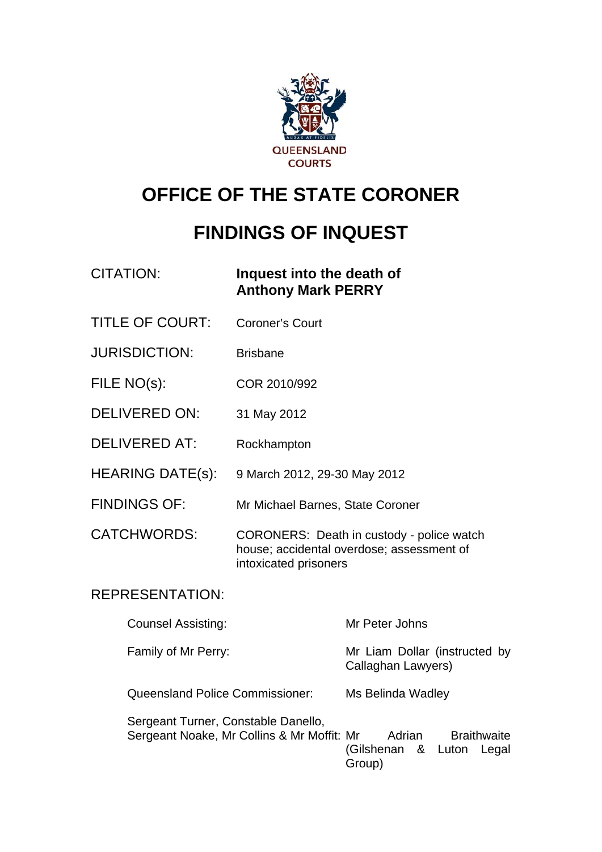

# **OFFICE OF THE STATE CORONER**

# **FINDINGS OF INQUEST**

### CITATION: **Inquest into the death of Anthony Mark PERRY**

- TITLE OF COURT: Coroner's Court
- JURISDICTION: Brisbane
- FILE NO(s): COR 2010/992
- DELIVERED ON: 31 May 2012
- DELIVERED AT: Rockhampton
- HEARING DATE(s): 9 March 2012, 29-30 May 2012
- FINDINGS OF: Mr Michael Barnes, State Coroner
- CATCHWORDS: CORONERS: Death in custody police watch house; accidental overdose; assessment of intoxicated prisoners

### REPRESENTATION:

| <b>Counsel Assisting:</b>                                                         | Mr Peter Johns                                                        |
|-----------------------------------------------------------------------------------|-----------------------------------------------------------------------|
| Family of Mr Perry:                                                               | Mr Liam Dollar (instructed by<br>Callaghan Lawyers)                   |
| Queensland Police Commissioner:                                                   | Ms Belinda Wadley                                                     |
| Sergeant Turner, Constable Danello,<br>Sergeant Noake, Mr Collins & Mr Moffit: Mr | <b>Braithwaite</b><br>Adrian<br>(Gilshenan & Luton<br>Legal<br>Group) |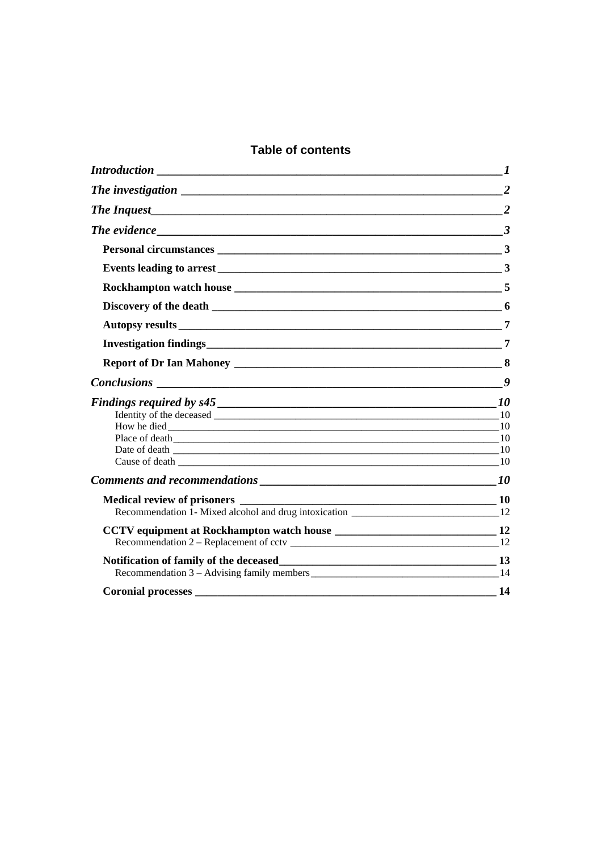### **Table of contents**

| The investigation 2                   |                |
|---------------------------------------|----------------|
|                                       | $\overline{2}$ |
| The evidence $\qquad \qquad \qquad 3$ |                |
|                                       |                |
|                                       |                |
|                                       |                |
|                                       |                |
|                                       |                |
|                                       |                |
|                                       |                |
|                                       |                |
|                                       |                |
|                                       |                |
|                                       |                |
|                                       |                |
| Cause of death $10$                   |                |
|                                       |                |
|                                       |                |
|                                       |                |
|                                       |                |
|                                       |                |
|                                       |                |
|                                       |                |
| <b>Coronial processes</b>             | 14             |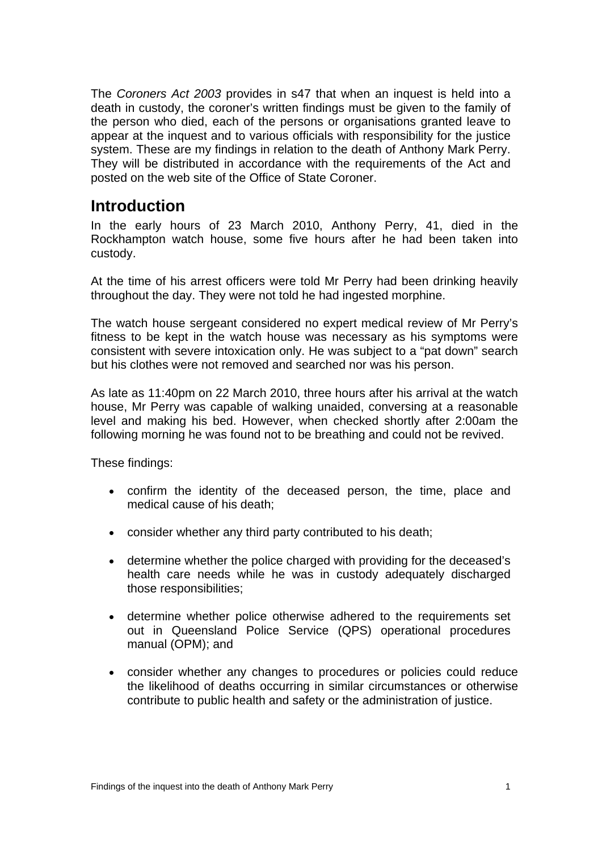The *Coroners Act 2003* provides in s47 that when an inquest is held into a death in custody, the coroner's written findings must be given to the family of the person who died, each of the persons or organisations granted leave to appear at the inquest and to various officials with responsibility for the justice system. These are my findings in relation to the death of Anthony Mark Perry. They will be distributed in accordance with the requirements of the Act and posted on the web site of the Office of State Coroner.

### <span id="page-2-0"></span>**Introduction**

In the early hours of 23 March 2010, Anthony Perry, 41, died in the Rockhampton watch house, some five hours after he had been taken into custody.

At the time of his arrest officers were told Mr Perry had been drinking heavily throughout the day. They were not told he had ingested morphine.

The watch house sergeant considered no expert medical review of Mr Perry's fitness to be kept in the watch house was necessary as his symptoms were consistent with severe intoxication only. He was subject to a "pat down" search but his clothes were not removed and searched nor was his person.

As late as 11:40pm on 22 March 2010, three hours after his arrival at the watch house, Mr Perry was capable of walking unaided, conversing at a reasonable level and making his bed. However, when checked shortly after 2:00am the following morning he was found not to be breathing and could not be revived.

These findings:

- confirm the identity of the deceased person, the time, place and medical cause of his death;
- consider whether any third party contributed to his death;
- determine whether the police charged with providing for the deceased's health care needs while he was in custody adequately discharged those responsibilities;
- determine whether police otherwise adhered to the requirements set out in Queensland Police Service (QPS) operational procedures manual (OPM); and
- consider whether any changes to procedures or policies could reduce the likelihood of deaths occurring in similar circumstances or otherwise contribute to public health and safety or the administration of justice.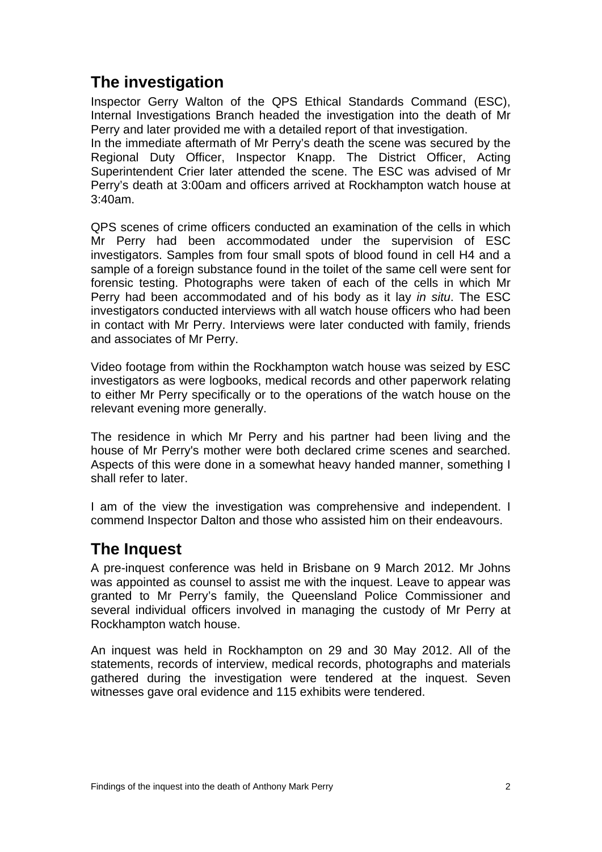# <span id="page-3-0"></span>**The investigation**

Inspector Gerry Walton of the QPS Ethical Standards Command (ESC), Internal Investigations Branch headed the investigation into the death of Mr Perry and later provided me with a detailed report of that investigation.

In the immediate aftermath of Mr Perry's death the scene was secured by the Regional Duty Officer, Inspector Knapp. The District Officer, Acting Superintendent Crier later attended the scene. The ESC was advised of Mr Perry's death at 3:00am and officers arrived at Rockhampton watch house at 3:40am.

QPS scenes of crime officers conducted an examination of the cells in which Mr Perry had been accommodated under the supervision of ESC investigators. Samples from four small spots of blood found in cell H4 and a sample of a foreign substance found in the toilet of the same cell were sent for forensic testing. Photographs were taken of each of the cells in which Mr Perry had been accommodated and of his body as it lay *in situ*. The ESC investigators conducted interviews with all watch house officers who had been in contact with Mr Perry. Interviews were later conducted with family, friends and associates of Mr Perry.

Video footage from within the Rockhampton watch house was seized by ESC investigators as were logbooks, medical records and other paperwork relating to either Mr Perry specifically or to the operations of the watch house on the relevant evening more generally.

The residence in which Mr Perry and his partner had been living and the house of Mr Perry's mother were both declared crime scenes and searched. Aspects of this were done in a somewhat heavy handed manner, something I shall refer to later.

I am of the view the investigation was comprehensive and independent. I commend Inspector Dalton and those who assisted him on their endeavours.

## <span id="page-3-1"></span>**The Inquest**

A pre-inquest conference was held in Brisbane on 9 March 2012. Mr Johns was appointed as counsel to assist me with the inquest. Leave to appear was granted to Mr Perry's family, the Queensland Police Commissioner and several individual officers involved in managing the custody of Mr Perry at Rockhampton watch house.

An inquest was held in Rockhampton on 29 and 30 May 2012. All of the statements, records of interview, medical records, photographs and materials gathered during the investigation were tendered at the inquest. Seven witnesses gave oral evidence and 115 exhibits were tendered.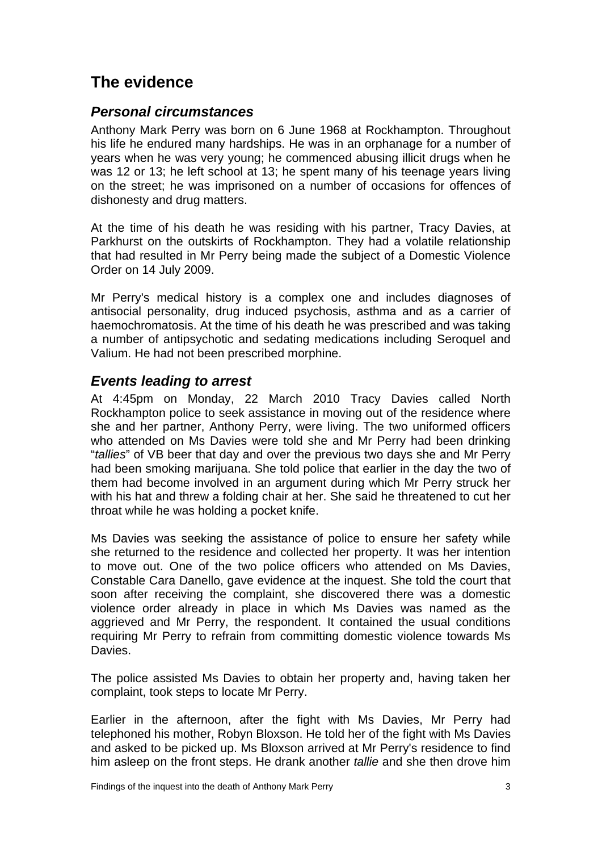# <span id="page-4-0"></span>**The evidence**

### <span id="page-4-1"></span>*Personal circumstances*

Anthony Mark Perry was born on 6 June 1968 at Rockhampton. Throughout his life he endured many hardships. He was in an orphanage for a number of years when he was very young; he commenced abusing illicit drugs when he was 12 or 13; he left school at 13; he spent many of his teenage years living on the street; he was imprisoned on a number of occasions for offences of dishonesty and drug matters.

At the time of his death he was residing with his partner, Tracy Davies, at Parkhurst on the outskirts of Rockhampton. They had a volatile relationship that had resulted in Mr Perry being made the subject of a Domestic Violence Order on 14 July 2009.

Mr Perry's medical history is a complex one and includes diagnoses of antisocial personality, drug induced psychosis, asthma and as a carrier of haemochromatosis. At the time of his death he was prescribed and was taking a number of antipsychotic and sedating medications including Seroquel and Valium. He had not been prescribed morphine.

### <span id="page-4-2"></span>*Events leading to arrest*

At 4:45pm on Monday, 22 March 2010 Tracy Davies called North Rockhampton police to seek assistance in moving out of the residence where she and her partner, Anthony Perry, were living. The two uniformed officers who attended on Ms Davies were told she and Mr Perry had been drinking "*tallies*" of VB beer that day and over the previous two days she and Mr Perry had been smoking marijuana. She told police that earlier in the day the two of them had become involved in an argument during which Mr Perry struck her with his hat and threw a folding chair at her. She said he threatened to cut her throat while he was holding a pocket knife.

Ms Davies was seeking the assistance of police to ensure her safety while she returned to the residence and collected her property. It was her intention to move out. One of the two police officers who attended on Ms Davies, Constable Cara Danello, gave evidence at the inquest. She told the court that soon after receiving the complaint, she discovered there was a domestic violence order already in place in which Ms Davies was named as the aggrieved and Mr Perry, the respondent. It contained the usual conditions requiring Mr Perry to refrain from committing domestic violence towards Ms **Davies** 

The police assisted Ms Davies to obtain her property and, having taken her complaint, took steps to locate Mr Perry.

Earlier in the afternoon, after the fight with Ms Davies, Mr Perry had telephoned his mother, Robyn Bloxson. He told her of the fight with Ms Davies and asked to be picked up. Ms Bloxson arrived at Mr Perry's residence to find him asleep on the front steps. He drank another *tallie* and she then drove him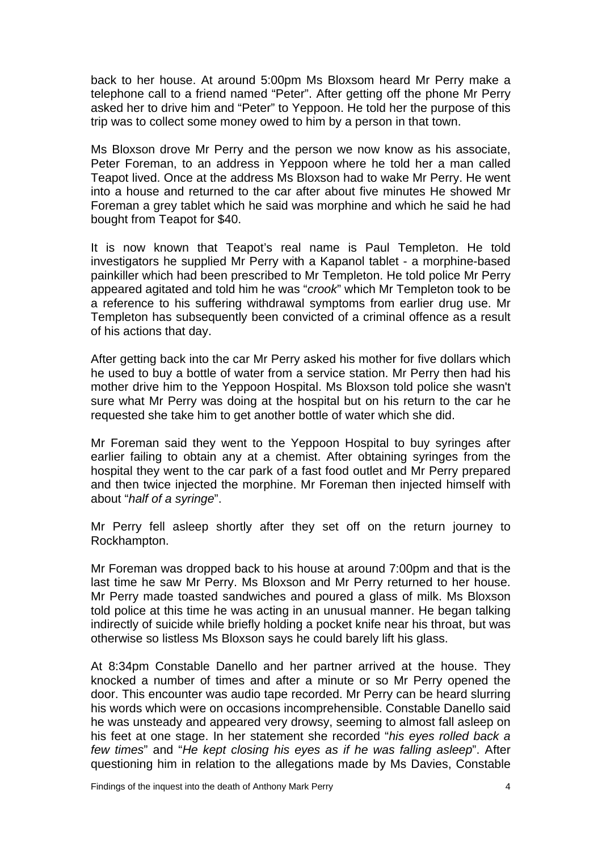back to her house. At around 5:00pm Ms Bloxsom heard Mr Perry make a telephone call to a friend named "Peter". After getting off the phone Mr Perry asked her to drive him and "Peter" to Yeppoon. He told her the purpose of this trip was to collect some money owed to him by a person in that town.

Ms Bloxson drove Mr Perry and the person we now know as his associate, Peter Foreman, to an address in Yeppoon where he told her a man called Teapot lived. Once at the address Ms Bloxson had to wake Mr Perry. He went into a house and returned to the car after about five minutes He showed Mr Foreman a grey tablet which he said was morphine and which he said he had bought from Teapot for \$40.

It is now known that Teapot's real name is Paul Templeton. He told investigators he supplied Mr Perry with a Kapanol tablet - a morphine-based painkiller which had been prescribed to Mr Templeton. He told police Mr Perry appeared agitated and told him he was "*crook*" which Mr Templeton took to be a reference to his suffering withdrawal symptoms from earlier drug use. Mr Templeton has subsequently been convicted of a criminal offence as a result of his actions that day.

After getting back into the car Mr Perry asked his mother for five dollars which he used to buy a bottle of water from a service station. Mr Perry then had his mother drive him to the Yeppoon Hospital. Ms Bloxson told police she wasn't sure what Mr Perry was doing at the hospital but on his return to the car he requested she take him to get another bottle of water which she did.

Mr Foreman said they went to the Yeppoon Hospital to buy syringes after earlier failing to obtain any at a chemist. After obtaining syringes from the hospital they went to the car park of a fast food outlet and Mr Perry prepared and then twice injected the morphine. Mr Foreman then injected himself with about "*half of a syringe*".

Mr Perry fell asleep shortly after they set off on the return journey to Rockhampton.

Mr Foreman was dropped back to his house at around 7:00pm and that is the last time he saw Mr Perry. Ms Bloxson and Mr Perry returned to her house. Mr Perry made toasted sandwiches and poured a glass of milk. Ms Bloxson told police at this time he was acting in an unusual manner. He began talking indirectly of suicide while briefly holding a pocket knife near his throat, but was otherwise so listless Ms Bloxson says he could barely lift his glass.

At 8:34pm Constable Danello and her partner arrived at the house. They knocked a number of times and after a minute or so Mr Perry opened the door. This encounter was audio tape recorded. Mr Perry can be heard slurring his words which were on occasions incomprehensible. Constable Danello said he was unsteady and appeared very drowsy, seeming to almost fall asleep on his feet at one stage. In her statement she recorded "*his eyes rolled back a few times*" and "*He kept closing his eyes as if he was falling asleep*". After questioning him in relation to the allegations made by Ms Davies, Constable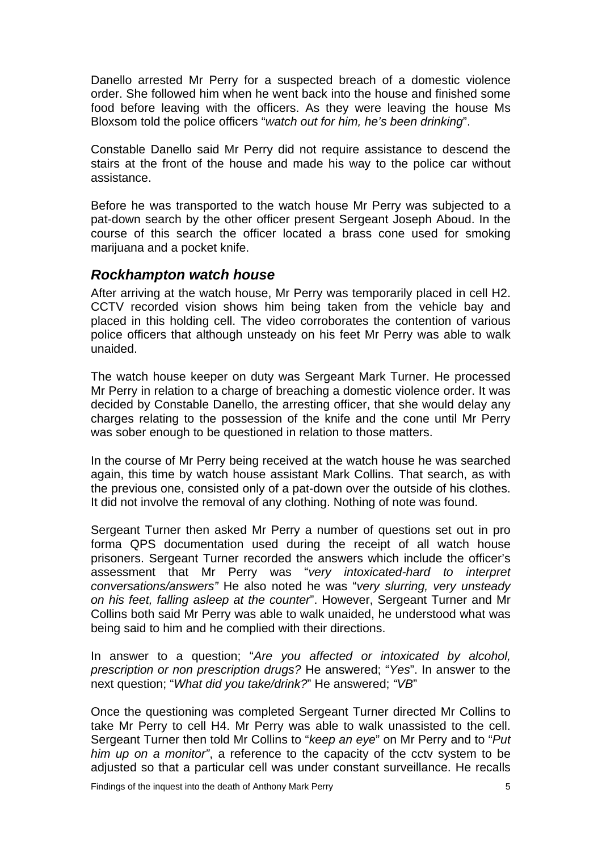Danello arrested Mr Perry for a suspected breach of a domestic violence order. She followed him when he went back into the house and finished some food before leaving with the officers. As they were leaving the house Ms Bloxsom told the police officers "*watch out for him, he's been drinking*".

Constable Danello said Mr Perry did not require assistance to descend the stairs at the front of the house and made his way to the police car without assistance.

Before he was transported to the watch house Mr Perry was subjected to a pat-down search by the other officer present Sergeant Joseph Aboud. In the course of this search the officer located a brass cone used for smoking marijuana and a pocket knife.

#### <span id="page-6-0"></span>*Rockhampton watch house*

After arriving at the watch house, Mr Perry was temporarily placed in cell H2. CCTV recorded vision shows him being taken from the vehicle bay and placed in this holding cell. The video corroborates the contention of various police officers that although unsteady on his feet Mr Perry was able to walk unaided.

The watch house keeper on duty was Sergeant Mark Turner. He processed Mr Perry in relation to a charge of breaching a domestic violence order. It was decided by Constable Danello, the arresting officer, that she would delay any charges relating to the possession of the knife and the cone until Mr Perry was sober enough to be questioned in relation to those matters.

In the course of Mr Perry being received at the watch house he was searched again, this time by watch house assistant Mark Collins. That search, as with the previous one, consisted only of a pat-down over the outside of his clothes. It did not involve the removal of any clothing. Nothing of note was found.

Sergeant Turner then asked Mr Perry a number of questions set out in pro forma QPS documentation used during the receipt of all watch house prisoners. Sergeant Turner recorded the answers which include the officer's assessment that Mr Perry was "*very intoxicated-hard to interpret conversations/answers"* He also noted he was "*very slurring, very unsteady on his feet, falling asleep at the counter*". However, Sergeant Turner and Mr Collins both said Mr Perry was able to walk unaided, he understood what was being said to him and he complied with their directions.

In answer to a question; "*Are you affected or intoxicated by alcohol, prescription or non prescription drugs?* He answered; "*Yes*". In answer to the next question; "*What did you take/drink?*" He answered; *"VB*"

Once the questioning was completed Sergeant Turner directed Mr Collins to take Mr Perry to cell H4. Mr Perry was able to walk unassisted to the cell. Sergeant Turner then told Mr Collins to "*keep an eye*" on Mr Perry and to "*Put him up on a monitor"*, a reference to the capacity of the cctv system to be adjusted so that a particular cell was under constant surveillance. He recalls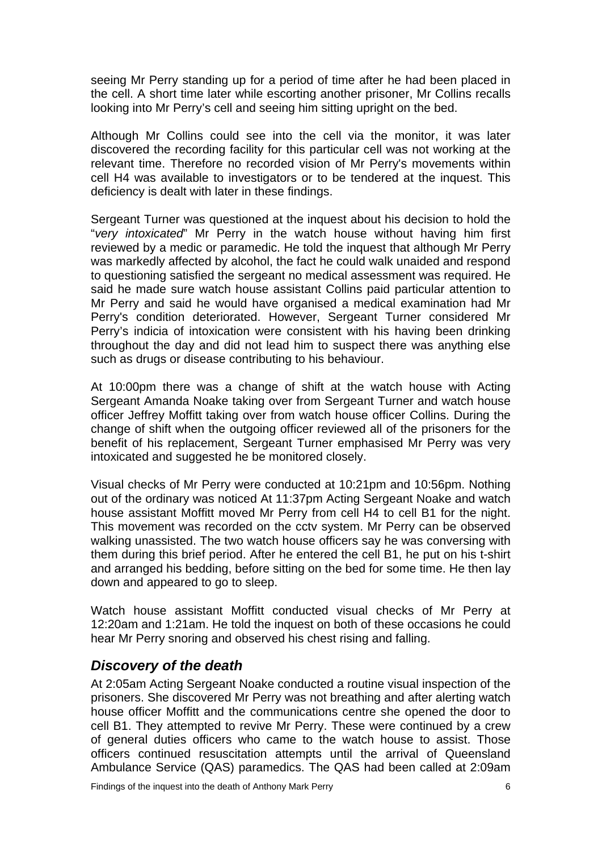seeing Mr Perry standing up for a period of time after he had been placed in the cell. A short time later while escorting another prisoner, Mr Collins recalls looking into Mr Perry's cell and seeing him sitting upright on the bed.

Although Mr Collins could see into the cell via the monitor, it was later discovered the recording facility for this particular cell was not working at the relevant time. Therefore no recorded vision of Mr Perry's movements within cell H4 was available to investigators or to be tendered at the inquest. This deficiency is dealt with later in these findings.

Sergeant Turner was questioned at the inquest about his decision to hold the "*very intoxicated*" Mr Perry in the watch house without having him first reviewed by a medic or paramedic. He told the inquest that although Mr Perry was markedly affected by alcohol, the fact he could walk unaided and respond to questioning satisfied the sergeant no medical assessment was required. He said he made sure watch house assistant Collins paid particular attention to Mr Perry and said he would have organised a medical examination had Mr Perry's condition deteriorated. However, Sergeant Turner considered Mr Perry's indicia of intoxication were consistent with his having been drinking throughout the day and did not lead him to suspect there was anything else such as drugs or disease contributing to his behaviour.

At 10:00pm there was a change of shift at the watch house with Acting Sergeant Amanda Noake taking over from Sergeant Turner and watch house officer Jeffrey Moffitt taking over from watch house officer Collins. During the change of shift when the outgoing officer reviewed all of the prisoners for the benefit of his replacement, Sergeant Turner emphasised Mr Perry was very intoxicated and suggested he be monitored closely.

Visual checks of Mr Perry were conducted at 10:21pm and 10:56pm. Nothing out of the ordinary was noticed At 11:37pm Acting Sergeant Noake and watch house assistant Moffitt moved Mr Perry from cell H4 to cell B1 for the night. This movement was recorded on the cctv system. Mr Perry can be observed walking unassisted. The two watch house officers say he was conversing with them during this brief period. After he entered the cell B1, he put on his t-shirt and arranged his bedding, before sitting on the bed for some time. He then lay down and appeared to go to sleep.

Watch house assistant Moffitt conducted visual checks of Mr Perry at 12:20am and 1:21am. He told the inquest on both of these occasions he could hear Mr Perry snoring and observed his chest rising and falling.

#### <span id="page-7-0"></span>*Discovery of the death*

At 2:05am Acting Sergeant Noake conducted a routine visual inspection of the prisoners. She discovered Mr Perry was not breathing and after alerting watch house officer Moffitt and the communications centre she opened the door to cell B1. They attempted to revive Mr Perry. These were continued by a crew of general duties officers who came to the watch house to assist. Those officers continued resuscitation attempts until the arrival of Queensland Ambulance Service (QAS) paramedics. The QAS had been called at 2:09am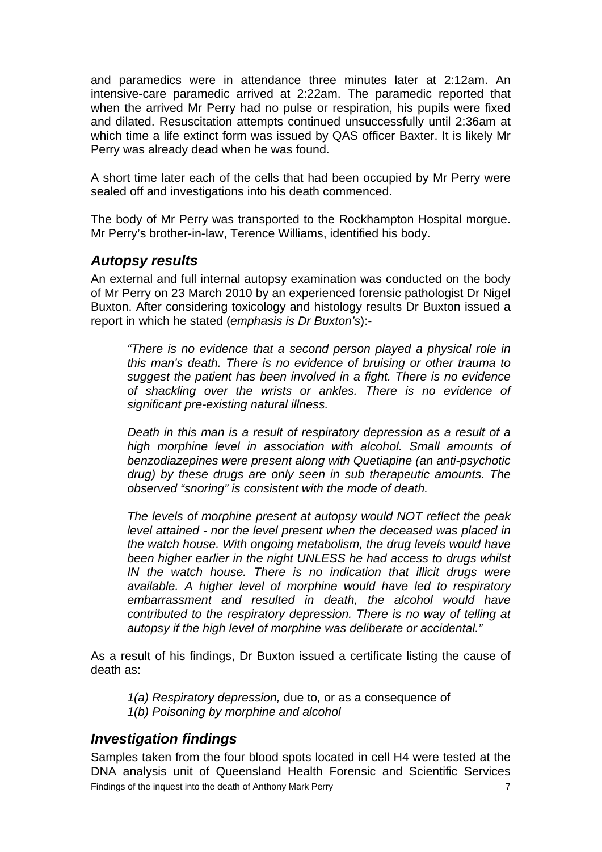and paramedics were in attendance three minutes later at 2:12am. An intensive-care paramedic arrived at 2:22am. The paramedic reported that when the arrived Mr Perry had no pulse or respiration, his pupils were fixed and dilated. Resuscitation attempts continued unsuccessfully until 2:36am at which time a life extinct form was issued by QAS officer Baxter. It is likely Mr Perry was already dead when he was found.

A short time later each of the cells that had been occupied by Mr Perry were sealed off and investigations into his death commenced.

The body of Mr Perry was transported to the Rockhampton Hospital morgue. Mr Perry's brother-in-law, Terence Williams, identified his body.

#### <span id="page-8-0"></span>*Autopsy results*

An external and full internal autopsy examination was conducted on the body of Mr Perry on 23 March 2010 by an experienced forensic pathologist Dr Nigel Buxton. After considering toxicology and histology results Dr Buxton issued a report in which he stated (*emphasis is Dr Buxton's*):-

*"There is no evidence that a second person played a physical role in this man's death. There is no evidence of bruising or other trauma to suggest the patient has been involved in a fight. There is no evidence of shackling over the wrists or ankles. There is no evidence of significant pre-existing natural illness.* 

*Death in this man is a result of respiratory depression as a result of a high morphine level in association with alcohol. Small amounts of benzodiazepines were present along with Quetiapine (an anti-psychotic drug) by these drugs are only seen in sub therapeutic amounts. The observed "snoring" is consistent with the mode of death.* 

*The levels of morphine present at autopsy would NOT reflect the peak level attained - nor the level present when the deceased was placed in the watch house. With ongoing metabolism, the drug levels would have been higher earlier in the night UNLESS he had access to drugs whilst IN the watch house. There is no indication that illicit drugs were available. A higher level of morphine would have led to respiratory embarrassment and resulted in death, the alcohol would have contributed to the respiratory depression. There is no way of telling at autopsy if the high level of morphine was deliberate or accidental."* 

As a result of his findings, Dr Buxton issued a certificate listing the cause of death as:

*1(a) Respiratory depression,* due to*,* or as a consequence of *1(b) Poisoning by morphine and alcohol*

### <span id="page-8-1"></span>*Investigation findings*

Samples taken from the four blood spots located in cell H4 were tested at the DNA analysis unit of Queensland Health Forensic and Scientific Services Findings of the inquest into the death of Anthony Mark Perry 7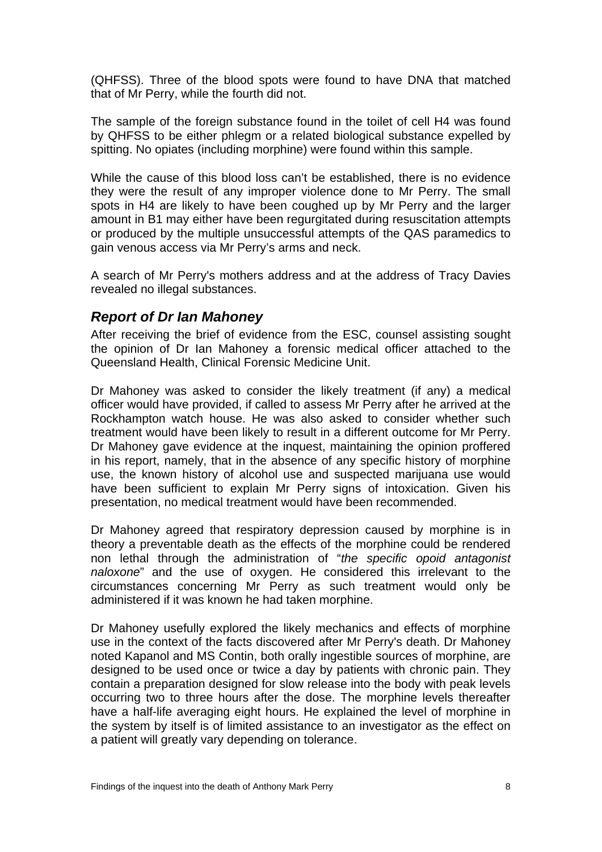(QHFSS). Three of the blood spots were found to have DNA that matched that of Mr Perry, while the fourth did not.

The sample of the foreign substance found in the toilet of cell H4 was found by QHFSS to be either phlegm or a related biological substance expelled by spitting. No opiates (including morphine) were found within this sample.

While the cause of this blood loss can't be established, there is no evidence they were the result of any improper violence done to Mr Perry. The small spots in H4 are likely to have been coughed up by Mr Perry and the larger amount in B1 may either have been regurgitated during resuscitation attempts or produced by the multiple unsuccessful attempts of the QAS paramedics to gain venous access via Mr Perry's arms and neck.

A search of Mr Perry's mothers address and at the address of Tracy Davies revealed no illegal substances.

#### <span id="page-9-0"></span>*Report of Dr Ian Mahoney*

After receiving the brief of evidence from the ESC, counsel assisting sought the opinion of Dr Ian Mahoney a forensic medical officer attached to the Queensland Health, Clinical Forensic Medicine Unit.

Dr Mahoney was asked to consider the likely treatment (if any) a medical officer would have provided, if called to assess Mr Perry after he arrived at the Rockhampton watch house. He was also asked to consider whether such treatment would have been likely to result in a different outcome for Mr Perry. Dr Mahoney gave evidence at the inquest, maintaining the opinion proffered in his report, namely, that in the absence of any specific history of morphine use, the known history of alcohol use and suspected marijuana use would have been sufficient to explain Mr Perry signs of intoxication. Given his presentation, no medical treatment would have been recommended.

Dr Mahoney agreed that respiratory depression caused by morphine is in theory a preventable death as the effects of the morphine could be rendered non lethal through the administration of "*the specific opoid antagonist naloxone*" and the use of oxygen. He considered this irrelevant to the circumstances concerning Mr Perry as such treatment would only be administered if it was known he had taken morphine.

Dr Mahoney usefully explored the likely mechanics and effects of morphine use in the context of the facts discovered after Mr Perry's death. Dr Mahoney noted Kapanol and MS Contin, both orally ingestible sources of morphine, are designed to be used once or twice a day by patients with chronic pain. They contain a preparation designed for slow release into the body with peak levels occurring two to three hours after the dose. The morphine levels thereafter have a half-life averaging eight hours. He explained the level of morphine in the system by itself is of limited assistance to an investigator as the effect on a patient will greatly vary depending on tolerance.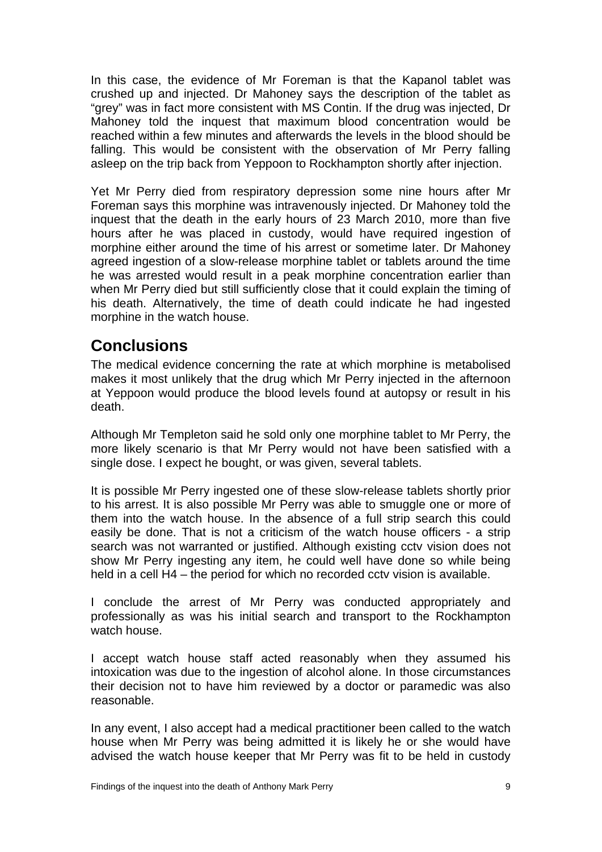In this case, the evidence of Mr Foreman is that the Kapanol tablet was crushed up and injected. Dr Mahoney says the description of the tablet as "grey" was in fact more consistent with MS Contin. If the drug was injected, Dr Mahoney told the inquest that maximum blood concentration would be reached within a few minutes and afterwards the levels in the blood should be falling. This would be consistent with the observation of Mr Perry falling asleep on the trip back from Yeppoon to Rockhampton shortly after injection.

Yet Mr Perry died from respiratory depression some nine hours after Mr Foreman says this morphine was intravenously injected. Dr Mahoney told the inquest that the death in the early hours of 23 March 2010, more than five hours after he was placed in custody, would have required ingestion of morphine either around the time of his arrest or sometime later. Dr Mahoney agreed ingestion of a slow-release morphine tablet or tablets around the time he was arrested would result in a peak morphine concentration earlier than when Mr Perry died but still sufficiently close that it could explain the timing of his death. Alternatively, the time of death could indicate he had ingested morphine in the watch house.

# <span id="page-10-0"></span>**Conclusions**

The medical evidence concerning the rate at which morphine is metabolised makes it most unlikely that the drug which Mr Perry injected in the afternoon at Yeppoon would produce the blood levels found at autopsy or result in his death.

Although Mr Templeton said he sold only one morphine tablet to Mr Perry, the more likely scenario is that Mr Perry would not have been satisfied with a single dose. I expect he bought, or was given, several tablets.

It is possible Mr Perry ingested one of these slow-release tablets shortly prior to his arrest. It is also possible Mr Perry was able to smuggle one or more of them into the watch house. In the absence of a full strip search this could easily be done. That is not a criticism of the watch house officers - a strip search was not warranted or justified. Although existing cctv vision does not show Mr Perry ingesting any item, he could well have done so while being held in a cell H4 – the period for which no recorded cctv vision is available.

I conclude the arrest of Mr Perry was conducted appropriately and professionally as was his initial search and transport to the Rockhampton watch house.

I accept watch house staff acted reasonably when they assumed his intoxication was due to the ingestion of alcohol alone. In those circumstances their decision not to have him reviewed by a doctor or paramedic was also reasonable.

In any event, I also accept had a medical practitioner been called to the watch house when Mr Perry was being admitted it is likely he or she would have advised the watch house keeper that Mr Perry was fit to be held in custody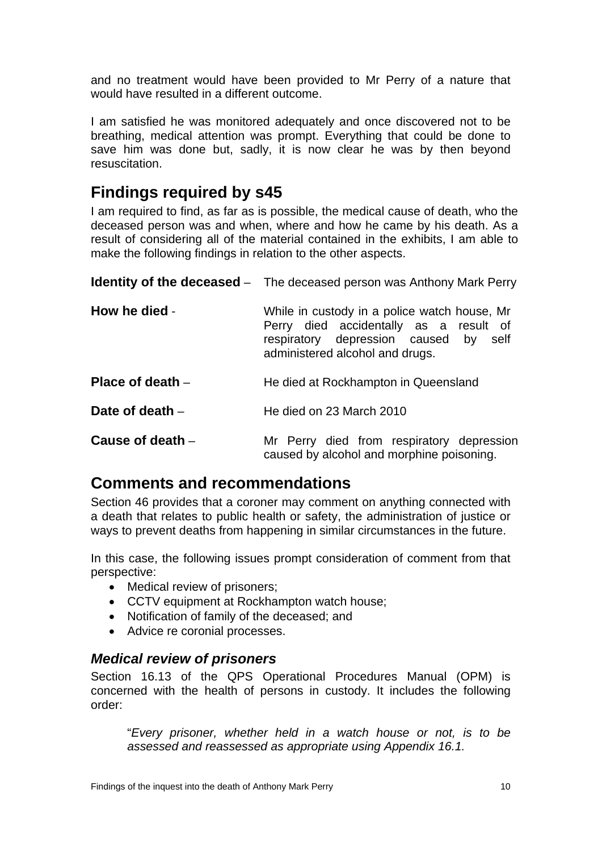and no treatment would have been provided to Mr Perry of a nature that would have resulted in a different outcome.

I am satisfied he was monitored adequately and once discovered not to be breathing, medical attention was prompt. Everything that could be done to save him was done but, sadly, it is now clear he was by then beyond resuscitation.

## <span id="page-11-0"></span>**Findings required by s45**

I am required to find, as far as is possible, the medical cause of death, who the deceased person was and when, where and how he came by his death. As a result of considering all of the material contained in the exhibits, I am able to make the following findings in relation to the other aspects.

<span id="page-11-3"></span><span id="page-11-2"></span><span id="page-11-1"></span>

|                    | <b>Identity of the deceased</b> – The deceased person was Anthony Mark Perry                                                                                       |
|--------------------|--------------------------------------------------------------------------------------------------------------------------------------------------------------------|
| How he died -      | While in custody in a police watch house, Mr<br>Perry died accidentally as a result of<br>respiratory depression caused by self<br>administered alcohol and drugs. |
| Place of death $-$ | He died at Rockhampton in Queensland                                                                                                                               |
| Date of death $-$  | He died on 23 March 2010                                                                                                                                           |
| Cause of death $-$ | Mr Perry died from respiratory depression<br>caused by alcohol and morphine poisoning.                                                                             |

## <span id="page-11-6"></span><span id="page-11-5"></span><span id="page-11-4"></span>**Comments and recommendations**

Section 46 provides that a coroner may comment on anything connected with a death that relates to public health or safety, the administration of justice or ways to prevent deaths from happening in similar circumstances in the future.

In this case, the following issues prompt consideration of comment from that perspective:

- Medical review of prisoners;
- CCTV equipment at Rockhampton watch house;
- Notification of family of the deceased; and
- Advice re coronial processes.

### <span id="page-11-7"></span>*Medical review of prisoners*

Section 16.13 of the QPS Operational Procedures Manual (OPM) is concerned with the health of persons in custody. It includes the following order:

"*Every prisoner, whether held in a watch house or not, is to be assessed and reassessed as appropriate using Appendix 16.1.*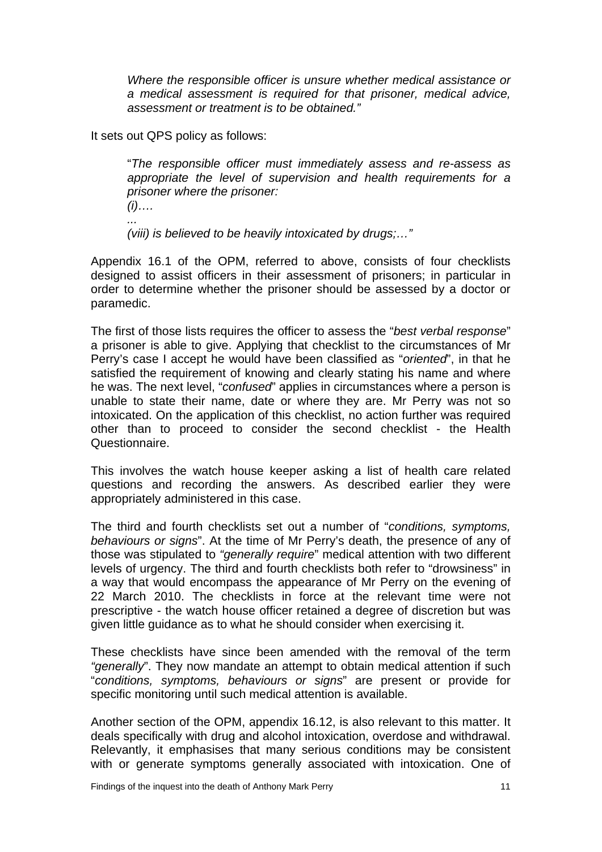*Where the responsible officer is unsure whether medical assistance or a medical assessment is required for that prisoner, medical advice, assessment or treatment is to be obtained."* 

It sets out QPS policy as follows:

"*The responsible officer must immediately assess and re-assess as appropriate the level of supervision and health requirements for a prisoner where the prisoner: (i)….* 

*...* 

 *(viii) is believed to be heavily intoxicated by drugs;…"* 

Appendix 16.1 of the OPM, referred to above, consists of four checklists designed to assist officers in their assessment of prisoners; in particular in order to determine whether the prisoner should be assessed by a doctor or paramedic.

The first of those lists requires the officer to assess the "*best verbal response*" a prisoner is able to give. Applying that checklist to the circumstances of Mr Perry's case I accept he would have been classified as "*oriented*", in that he satisfied the requirement of knowing and clearly stating his name and where he was. The next level, "*confused*" applies in circumstances where a person is unable to state their name, date or where they are. Mr Perry was not so intoxicated. On the application of this checklist, no action further was required other than to proceed to consider the second checklist - the Health Questionnaire.

This involves the watch house keeper asking a list of health care related questions and recording the answers. As described earlier they were appropriately administered in this case.

The third and fourth checklists set out a number of "*conditions, symptoms, behaviours or signs*". At the time of Mr Perry's death, the presence of any of those was stipulated to *"generally require*" medical attention with two different levels of urgency. The third and fourth checklists both refer to "drowsiness" in a way that would encompass the appearance of Mr Perry on the evening of 22 March 2010. The checklists in force at the relevant time were not prescriptive - the watch house officer retained a degree of discretion but was given little guidance as to what he should consider when exercising it.

These checklists have since been amended with the removal of the term *"generally*". They now mandate an attempt to obtain medical attention if such "*conditions, symptoms, behaviours or signs*" are present or provide for specific monitoring until such medical attention is available.

Another section of the OPM, appendix 16.12, is also relevant to this matter. It deals specifically with drug and alcohol intoxication, overdose and withdrawal. Relevantly, it emphasises that many serious conditions may be consistent with or generate symptoms generally associated with intoxication. One of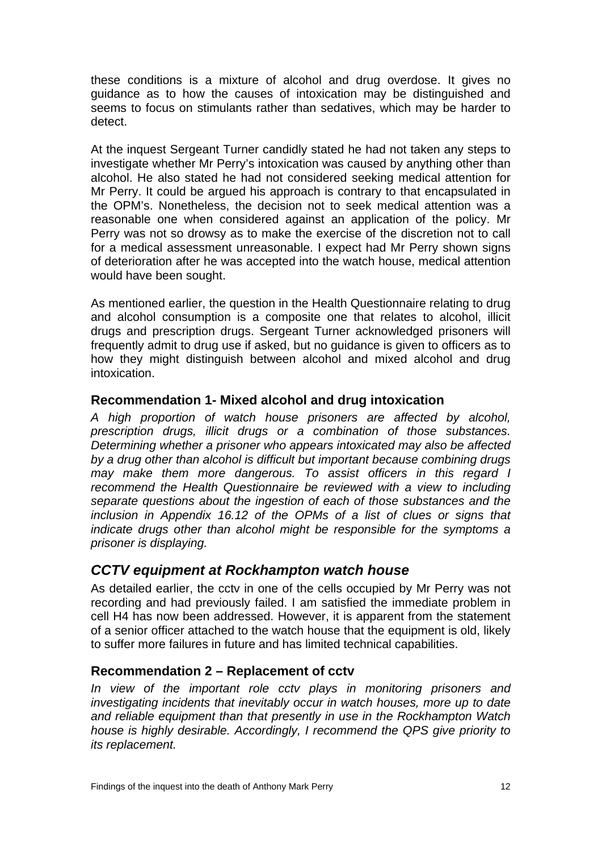these conditions is a mixture of alcohol and drug overdose. It gives no guidance as to how the causes of intoxication may be distinguished and seems to focus on stimulants rather than sedatives, which may be harder to detect.

At the inquest Sergeant Turner candidly stated he had not taken any steps to investigate whether Mr Perry's intoxication was caused by anything other than alcohol. He also stated he had not considered seeking medical attention for Mr Perry. It could be argued his approach is contrary to that encapsulated in the OPM's. Nonetheless, the decision not to seek medical attention was a reasonable one when considered against an application of the policy. Mr Perry was not so drowsy as to make the exercise of the discretion not to call for a medical assessment unreasonable. I expect had Mr Perry shown signs of deterioration after he was accepted into the watch house, medical attention would have been sought.

As mentioned earlier, the question in the Health Questionnaire relating to drug and alcohol consumption is a composite one that relates to alcohol, illicit drugs and prescription drugs. Sergeant Turner acknowledged prisoners will frequently admit to drug use if asked, but no guidance is given to officers as to how they might distinguish between alcohol and mixed alcohol and drug intoxication.

#### <span id="page-13-0"></span>**Recommendation 1- Mixed alcohol and drug intoxication**

*A high proportion of watch house prisoners are affected by alcohol, prescription drugs, illicit drugs or a combination of those substances. Determining whether a prisoner who appears intoxicated may also be affected by a drug other than alcohol is difficult but important because combining drugs may make them more dangerous. To assist officers in this regard I recommend the Health Questionnaire be reviewed with a view to including separate questions about the ingestion of each of those substances and the inclusion in Appendix 16.12 of the OPMs of a list of clues or signs that*  indicate drugs other than alcohol might be responsible for the symptoms a *prisoner is displaying.* 

#### <span id="page-13-1"></span>*CCTV equipment at Rockhampton watch house*

As detailed earlier, the cctv in one of the cells occupied by Mr Perry was not recording and had previously failed. I am satisfied the immediate problem in cell H4 has now been addressed. However, it is apparent from the statement of a senior officer attached to the watch house that the equipment is old, likely to suffer more failures in future and has limited technical capabilities.

#### <span id="page-13-2"></span>**Recommendation 2 – Replacement of cctv**

*In view of the important role cctv plays in monitoring prisoners and investigating incidents that inevitably occur in watch houses, more up to date and reliable equipment than that presently in use in the Rockhampton Watch house is highly desirable. Accordingly, I recommend the QPS give priority to its replacement.*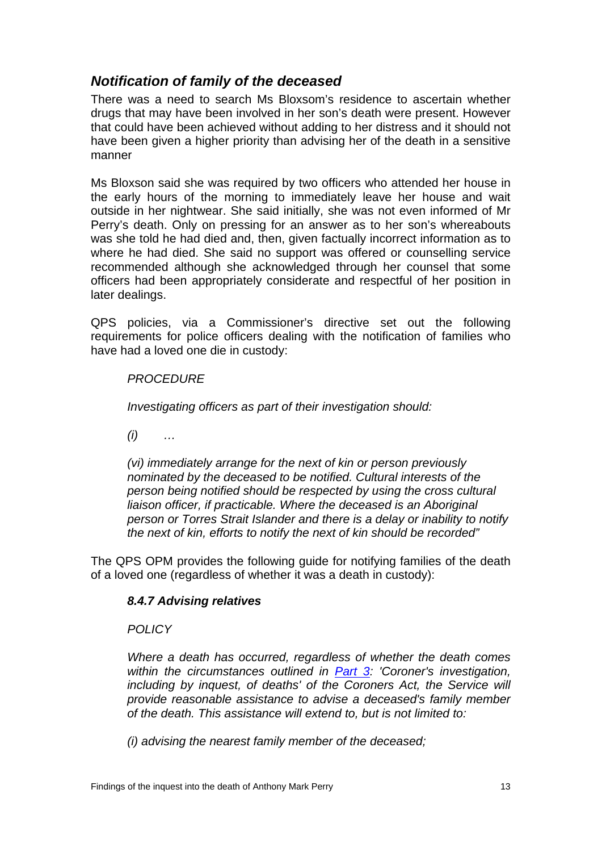### <span id="page-14-0"></span>*Notification of family of the deceased*

There was a need to search Ms Bloxsom's residence to ascertain whether drugs that may have been involved in her son's death were present. However that could have been achieved without adding to her distress and it should not have been given a higher priority than advising her of the death in a sensitive manner

Ms Bloxson said she was required by two officers who attended her house in the early hours of the morning to immediately leave her house and wait outside in her nightwear. She said initially, she was not even informed of Mr Perry's death. Only on pressing for an answer as to her son's whereabouts was she told he had died and, then, given factually incorrect information as to where he had died. She said no support was offered or counselling service recommended although she acknowledged through her counsel that some officers had been appropriately considerate and respectful of her position in later dealings.

QPS policies, via a Commissioner's directive set out the following requirements for police officers dealing with the notification of families who have had a loved one die in custody:

#### *PROCEDURE*

*Investigating officers as part of their investigation should:* 

*(i) …* 

*(vi) immediately arrange for the next of kin or person previously nominated by the deceased to be notified. Cultural interests of the person being notified should be respected by using the cross cultural liaison officer, if practicable. Where the deceased is an Aboriginal person or Torres Strait Islander and there is a delay or inability to notify the next of kin, efforts to notify the next of kin should be recorded"* 

The QPS OPM provides the following guide for notifying families of the death of a loved one (regardless of whether it was a death in custody):

#### *8.4.7 Advising relatives*

#### *POLICY*

*Where a death has occurred, regardless of whether the death comes within the circumstances outlined in [Part 3:](http://intranet.qldpol/NR/rdonlyres/643DF288-264E-4F01-910F-1103AC6D683F/0/CoronersA03.pdf) 'Coroner's investigation, including by inquest, of deaths' of the Coroners Act, the Service will provide reasonable assistance to advise a deceased's family member of the death. This assistance will extend to, but is not limited to:* 

*(i) advising the nearest family member of the deceased;*